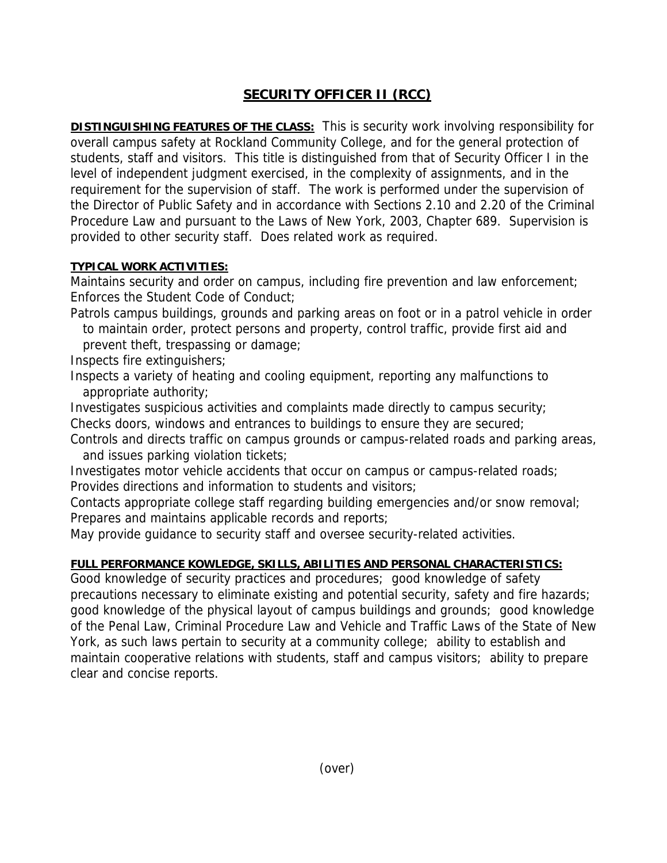# **SECURITY OFFICER II (RCC)**

**DISTINGUISHING FEATURES OF THE CLASS:** This is security work involving responsibility for overall campus safety at Rockland Community College, and for the general protection of students, staff and visitors. This title is distinguished from that of Security Officer I in the level of independent judgment exercised, in the complexity of assignments, and in the requirement for the supervision of staff. The work is performed under the supervision of the Director of Public Safety and in accordance with Sections 2.10 and 2.20 of the Criminal Procedure Law and pursuant to the Laws of New York, 2003, Chapter 689. Supervision is provided to other security staff. Does related work as required.

### **TYPICAL WORK ACTIVITIES:**

Maintains security and order on campus, including fire prevention and law enforcement; Enforces the Student Code of Conduct;

Patrols campus buildings, grounds and parking areas on foot or in a patrol vehicle in order to maintain order, protect persons and property, control traffic, provide first aid and prevent theft, trespassing or damage;

Inspects fire extinguishers;

Inspects a variety of heating and cooling equipment, reporting any malfunctions to appropriate authority;

Investigates suspicious activities and complaints made directly to campus security; Checks doors, windows and entrances to buildings to ensure they are secured;

Controls and directs traffic on campus grounds or campus-related roads and parking areas, and issues parking violation tickets;

Investigates motor vehicle accidents that occur on campus or campus-related roads; Provides directions and information to students and visitors;

Contacts appropriate college staff regarding building emergencies and/or snow removal; Prepares and maintains applicable records and reports;

May provide guidance to security staff and oversee security-related activities.

## **FULL PERFORMANCE KOWLEDGE, SKILLS, ABILITIES AND PERSONAL CHARACTERISTICS:**

Good knowledge of security practices and procedures; good knowledge of safety precautions necessary to eliminate existing and potential security, safety and fire hazards; good knowledge of the physical layout of campus buildings and grounds; good knowledge of the Penal Law, Criminal Procedure Law and Vehicle and Traffic Laws of the State of New York, as such laws pertain to security at a community college; ability to establish and maintain cooperative relations with students, staff and campus visitors; ability to prepare clear and concise reports.